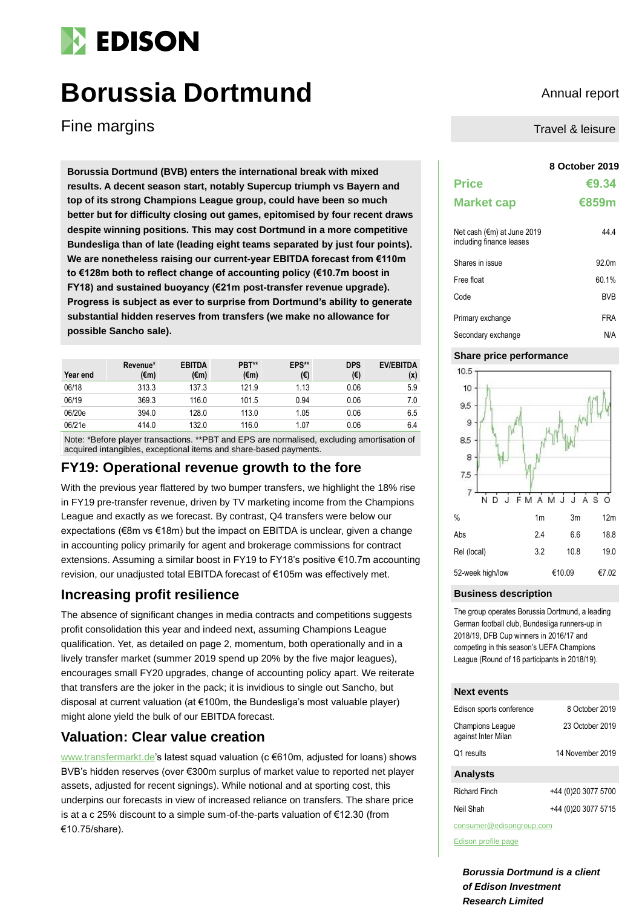# **EDISON**

# **Borussia Dortmund** Annual report

Fine margins

**8 October 2019 Borussia Dortmund (BVB) enters the international break with mixed results. A decent season start, notably Supercup triumph vs Bayern and top of its strong Champions League group, could have been so much better but for difficulty closing out games, epitomised by four recent draws despite winning positions. This may cost Dortmund in a more competitive Bundesliga than of late (leading eight teams separated by just four points). We are nonetheless raising our current-year EBITDA forecast from €110m to €128m both to reflect change of accounting policy (€10.7m boost in FY18) and sustained buoyancy (€21m post-transfer revenue upgrade). Progress is subject as ever to surprise from Dortmund's ability to generate substantial hidden reserves from transfers (we make no allowance for possible Sancho sale).** 

| Year end | Revenue*<br>(€m) | <b>EBITDA</b><br>(€m) | PBT**<br>$(\epsilon m)$ | EPS**<br>(€) | <b>DPS</b><br>(€) | <b>EV/EBITDA</b><br>(x) |
|----------|------------------|-----------------------|-------------------------|--------------|-------------------|-------------------------|
| 06/18    | 313.3            | 137.3                 | 121.9                   | 1.13         | 0.06              | 5.9                     |
| 06/19    | 369.3            | 116.0                 | 101.5                   | 0.94         | 0.06              | 7.0                     |
| 06/20e   | 394.0            | 128.0                 | 113.0                   | 1.05         | 0.06              | 6.5                     |
| 06/21e   | 414.0            | 132.0                 | 116.0                   | 1.07         | 0.06              | 6.4                     |

Note: \*Before player transactions. \*\*PBT and EPS are normalised, excluding amortisation of acquired intangibles, exceptional items and share-based payments.

# **FY19: Operational revenue growth to the fore**

With the previous year flattered by two bumper transfers, we highlight the 18% rise in FY19 pre-transfer revenue, driven by TV marketing income from the Champions League and exactly as we forecast. By contrast, Q4 transfers were below our expectations (€8m vs €18m) but the impact on EBITDA is unclear, given a change in accounting policy primarily for agent and brokerage commissions for contract extensions. Assuming a similar boost in FY19 to FY18's positive €10.7m accounting revision, our unadjusted total EBITDA forecast of €105m was effectively met.

# **Increasing profit resilience**

The absence of significant changes in media contracts and competitions suggests profit consolidation this year and indeed next, assuming Champions League qualification. Yet, as detailed on page 2, momentum, both operationally and in a lively transfer market (summer 2019 spend up 20% by the five major leagues), encourages small FY20 upgrades, change of accounting policy apart. We reiterate that transfers are the joker in the pack; it is invidious to single out Sancho, but disposal at current valuation (at €100m, the Bundesliga's most valuable player) might alone yield the bulk of our EBITDA forecast.

## **Valuation: Clear value creation**

[www.transfermarkt.de's](http://www.transfermarkt.de/) latest squad valuation (c €610m, adjusted for loans) shows BVB's hidden reserves (over €300m surplus of market value to reported net player assets, adjusted for recent signings). While notional and at sporting cost, this underpins our forecasts in view of increased reliance on transfers. The share price is at a c 25% discount to a simple sum-of-the-parts valuation of €12.30 (from €10.75/share).

Travel & leisure

| <b>Price</b><br><b>Market cap</b>                      | €9.34<br>€859m |
|--------------------------------------------------------|----------------|
| Net cash (€m) at June 2019<br>including finance leases | 44 4           |
| Shares in issue                                        | 920m           |
| Free float                                             | 60.1%          |
| Code                                                   | <b>BVB</b>     |
| Primary exchange                                       | FRA            |

# Secondary exchange N/A

### **Share price performance**



#### **Business description**

The group operates Borussia Dortmund, a leading German football club, Bundesliga runners-up in 2018/19, DFB Cup winners in 2016/17 and competing in this season's UEFA Champions League (Round of 16 participants in 2018/19).

#### **Next events**

| Edison sports conference                       | 8 October 2019      |  |  |  |  |
|------------------------------------------------|---------------------|--|--|--|--|
| <b>Champions League</b><br>against Inter Milan | 23 October 2019     |  |  |  |  |
| Q1 results                                     | 14 November 2019    |  |  |  |  |
| <b>Analysts</b>                                |                     |  |  |  |  |
| <b>Richard Finch</b>                           | +44 (0)20 3077 5700 |  |  |  |  |
| Neil Shah                                      | +44 (0)20 3077 5715 |  |  |  |  |
| consumer@edisonaroup.com                       |                     |  |  |  |  |

[Edison profile page](https://www.edisongroup.com/company/borussia-dortmund/1521)

*Borussia Dortmund is a client of Edison Investment Research Limited*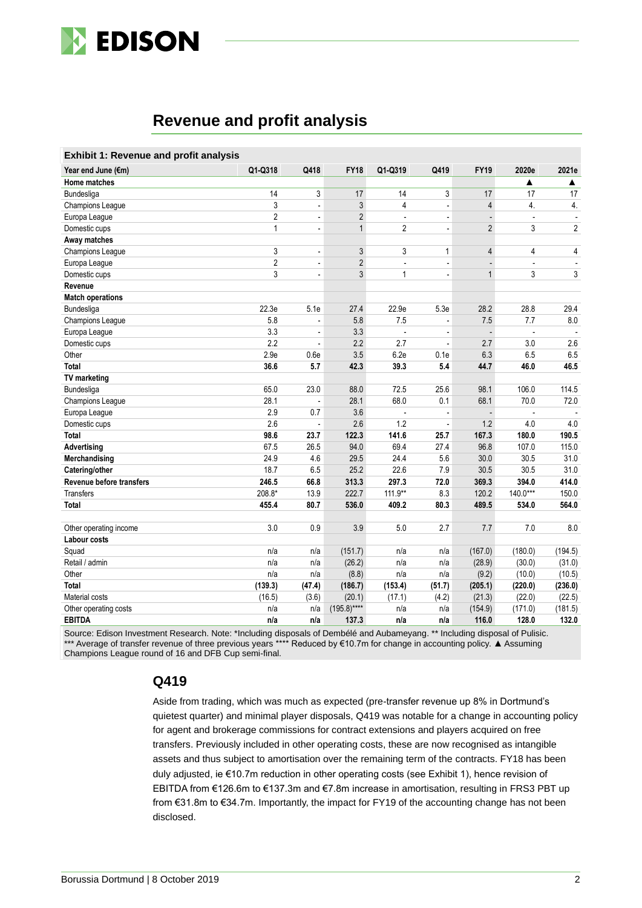

# **Revenue and profit analysis**

| <b>Exhibit 1: Revenue and profit analysis</b> |                |                          |                |                          |                          |                |                |                |
|-----------------------------------------------|----------------|--------------------------|----------------|--------------------------|--------------------------|----------------|----------------|----------------|
| Year end June (€m)                            | Q1-Q318        | Q418                     | <b>FY18</b>    | Q1-Q319                  | Q419                     | <b>FY19</b>    | 2020e          | 2021e          |
| Home matches                                  |                |                          |                |                          |                          |                | ▲              | ▲              |
| Bundesliga                                    | 14             | 3                        | 17             | 14                       | 3                        | 17             | 17             | 17             |
| Champions League                              | $\mathsf 3$    | $\blacksquare$           | 3              | 4                        | $\blacksquare$           | $\overline{4}$ | 4.             | 4.             |
| Europa Leaque                                 | $\overline{2}$ | $\blacksquare$           | $\overline{2}$ | ÷,                       | $\overline{a}$           |                |                |                |
| Domestic cups                                 | $\mathbf{1}$   | $\frac{1}{2}$            | $\mathbf{1}$   | $\overline{2}$           | L.                       | $\overline{2}$ | 3              | $\overline{2}$ |
| Away matches                                  |                |                          |                |                          |                          |                |                |                |
| Champions League                              | 3              | $\overline{a}$           | 3              | 3                        | $\mathbf{1}$             | $\overline{4}$ | 4              | 4              |
| Europa League                                 | $\overline{2}$ | $\blacksquare$           | $\overline{2}$ | $\overline{\phantom{a}}$ | $\overline{\phantom{a}}$ | ÷,             | $\overline{a}$ | $\blacksquare$ |
| Domestic cups                                 | 3              | $\overline{\phantom{a}}$ | 3              | $\mathbf{1}$             | $\overline{\phantom{a}}$ | $\mathbf{1}$   | 3              | 3              |
| Revenue                                       |                |                          |                |                          |                          |                |                |                |
| <b>Match operations</b>                       |                |                          |                |                          |                          |                |                |                |
| Bundesliga                                    | 22.3e          | 5.1e                     | 27.4           | 22.9e                    | 5.3e                     | 28.2           | 28.8           | 29.4           |
| Champions League                              | 5.8            | $\blacksquare$           | 5.8            | 7.5                      | $\overline{\phantom{a}}$ | 7.5            | 7.7            | 8.0            |
| Europa League                                 | 3.3            | $\overline{a}$           | 3.3            |                          |                          | ÷,             |                |                |
| Domestic cups                                 | 2.2            | $\overline{\phantom{a}}$ | 2.2            | 2.7                      | $\blacksquare$           | 2.7            | 3.0            | 2.6            |
| Other                                         | 2.9e           | 0.6e                     | 3.5            | 6.2e                     | 0.1e                     | 6.3            | 6.5            | 6.5            |
| Total                                         | 36.6           | 5.7                      | 42.3           | 39.3                     | 5.4                      | 44.7           | 46.0           | 46.5           |
| <b>TV</b> marketing                           |                |                          |                |                          |                          |                |                |                |
| Bundesliga                                    | 65.0           | 23.0                     | 88.0           | 72.5                     | 25.6                     | 98.1           | 106.0          | 114.5          |
| Champions League                              | 28.1           | $\overline{\phantom{a}}$ | 28.1           | 68.0                     | 0.1                      | 68.1           | 70.0           | 72.0           |
| Europa League                                 | 2.9            | 0.7                      | 3.6            |                          |                          | $\overline{a}$ |                |                |
| Domestic cups                                 | 2.6            | ä,                       | 2.6            | 1.2                      | $\overline{a}$           | 1.2            | 4.0            | 4.0            |
| <b>Total</b>                                  | 98.6           | 23.7                     | 122.3          | 141.6                    | 25.7                     | 167.3          | 180.0          | 190.5          |
| Advertising                                   | 67.5           | 26.5                     | 94.0           | 69.4                     | 27.4                     | 96.8           | 107.0          | 115.0          |
| Merchandising                                 | 24.9           | 4.6                      | 29.5           | 24.4                     | 5.6                      | 30.0           | 30.5           | 31.0           |
| Catering/other                                | 18.7           | 6.5                      | 25.2           | 22.6                     | 7.9                      | 30.5           | 30.5           | 31.0           |
| Revenue before transfers                      | 246.5          | 66.8                     | 313.3          | 297.3                    | 72.0                     | 369.3          | 394.0          | 414.0          |
| <b>Transfers</b>                              | 208.8*         | 13.9                     | 222.7          | 111.9**                  | 8.3                      | 120.2          | $140.0***$     | 150.0          |
| <b>Total</b>                                  | 455.4          | 80.7                     | 536.0          | 409.2                    | 80.3                     | 489.5          | 534.0          | 564.0          |
|                                               |                |                          |                |                          |                          |                |                |                |
| Other operating income                        | 3.0            | 0.9                      | 3.9            | 5.0                      | 2.7                      | 7.7            | 7.0            | 8.0            |
| Labour costs                                  |                |                          |                |                          |                          |                |                |                |
| Squad                                         | n/a            | n/a                      | (151.7)        | n/a                      | n/a                      | (167.0)        | (180.0)        | (194.5)        |
| Retail / admin                                | n/a            | n/a                      | (26.2)         | n/a                      | n/a                      | (28.9)         | (30.0)         | (31.0)         |
| Other                                         | n/a            | n/a                      | (8.8)          | n/a                      | n/a                      | (9.2)          | (10.0)         | (10.5)         |
| <b>Total</b>                                  | (139.3)        | (47.4)                   | (186.7)        | (153.4)                  | (51.7)                   | (205.1)        | (220.0)        | (236.0)        |
| Material costs                                | (16.5)         | (3.6)                    | (20.1)         | (17.1)                   | (4.2)                    | (21.3)         | (22.0)         | (22.5)         |
| Other operating costs                         | n/a            | n/a                      | $(195.8)***$   | n/a                      | n/a                      | (154.9)        | (171.0)        | (181.5)        |
| <b>EBITDA</b>                                 | n/a            | n/a                      | 137.3          | n/a                      | n/a                      | 116.0          | 128.0          | 132.0          |

Source: Edison Investment Research. Note: \*Including disposals of Dembélé and Aubameyang. \*\* Including disposal of Pulisic. \*\*\* Average of transfer revenue of three previous years \*\*\*\* Reduced by €10.7m for change in accounting policy. ▲ Assuming Champions League round of 16 and DFB Cup semi-final.

#### **Q419**

Aside from trading, which was much as expected (pre-transfer revenue up 8% in Dortmund's quietest quarter) and minimal player disposals, Q419 was notable for a change in accounting policy for agent and brokerage commissions for contract extensions and players acquired on free transfers. Previously included in other operating costs, these are now recognised as intangible assets and thus subject to amortisation over the remaining term of the contracts. FY18 has been duly adjusted, ie €10.7m reduction in other operating costs (see Exhibit 1), hence revision of EBITDA from €126.6m to €137.3m and €7.8m increase in amortisation, resulting in FRS3 PBT up from €31.8m to €34.7m. Importantly, the impact for FY19 of the accounting change has not been disclosed.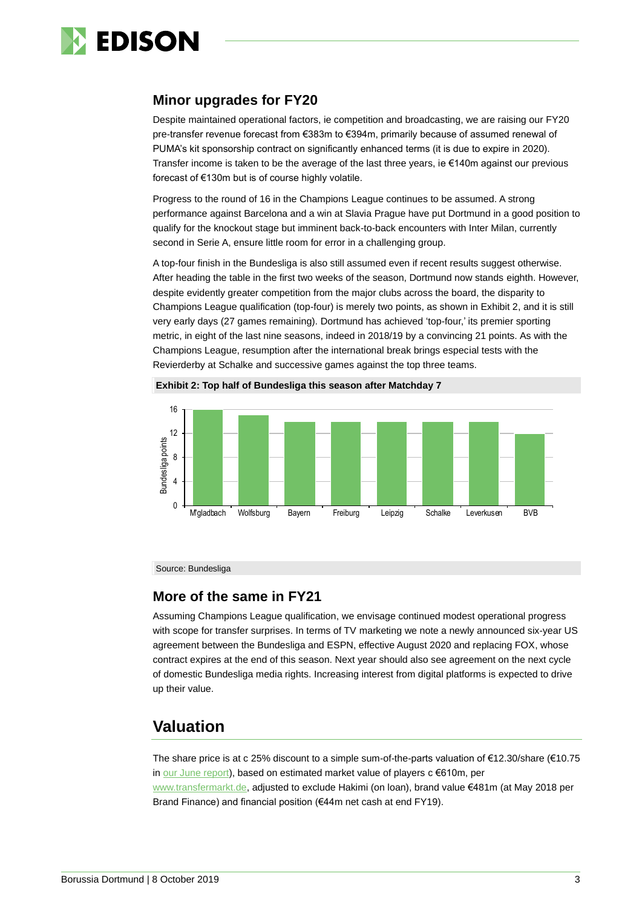

### **Minor upgrades for FY20**

Despite maintained operational factors, ie competition and broadcasting, we are raising our FY20 pre-transfer revenue forecast from €383m to €394m, primarily because of assumed renewal of PUMA's kit sponsorship contract on significantly enhanced terms (it is due to expire in 2020). Transfer income is taken to be the average of the last three years, ie €140m against our previous forecast of €130m but is of course highly volatile.

Progress to the round of 16 in the Champions League continues to be assumed. A strong performance against Barcelona and a win at Slavia Prague have put Dortmund in a good position to qualify for the knockout stage but imminent back-to-back encounters with Inter Milan, currently second in Serie A, ensure little room for error in a challenging group.

A top-four finish in the Bundesliga is also still assumed even if recent results suggest otherwise. After heading the table in the first two weeks of the season, Dortmund now stands eighth. However, despite evidently greater competition from the major clubs across the board, the disparity to Champions League qualification (top-four) is merely two points, as shown in Exhibit 2, and it is still very early days (27 games remaining). Dortmund has achieved 'top-four,' its premier sporting metric, in eight of the last nine seasons, indeed in 2018/19 by a convincing 21 points. As with the Champions League, resumption after the international break brings especial tests with the Revierderby at Schalke and successive games against the top three teams.





Source: Bundesliga

#### **More of the same in FY21**

Assuming Champions League qualification, we envisage continued modest operational progress with scope for transfer surprises. In terms of TV marketing we note a newly announced six-year US agreement between the Bundesliga and ESPN, effective August 2020 and replacing FOX, whose contract expires at the end of this season. Next year should also see agreement on the next cycle of domestic Bundesliga media rights. Increasing interest from digital platforms is expected to drive up their value.

# **Valuation**

The share price is at c 25% discount to a simple sum-of-the-parts valuation of €12.30/share (€10.75 in [our June report\)](https://www.edisongroup.com/publication/its-not-over-till-its-over/24412/), based on estimated market value of players c €610m, per [www.transfermarkt.de,](http://www.transfermarkt.de/) adjusted to exclude Hakimi (on loan), brand value €481m (at May 2018 per Brand Finance) and financial position (€44m net cash at end FY19).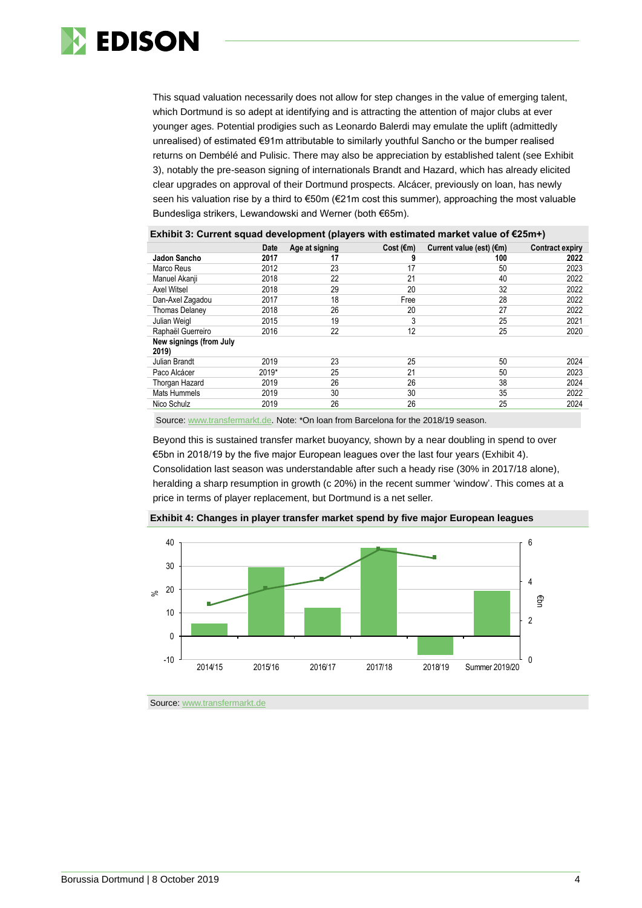

This squad valuation necessarily does not allow for step changes in the value of emerging talent, which Dortmund is so adept at identifying and is attracting the attention of major clubs at ever younger ages. Potential prodigies such as Leonardo Balerdi may emulate the uplift (admittedly unrealised) of estimated €91m attributable to similarly youthful Sancho or the bumper realised returns on Dembélé and Pulisic. There may also be appreciation by established talent (see Exhibit 3), notably the pre-season signing of internationals Brandt and Hazard, which has already elicited clear upgrades on approval of their Dortmund prospects. Alcácer, previously on loan, has newly seen his valuation rise by a third to €50m (€21m cost this summer), approaching the most valuable Bundesliga strikers, Lewandowski and Werner (both €65m).

| LAIIIDIL J. OUNGIR SYUAY UGVGIOPINGIR (PIAYGIS WRIN GSUMALGU MARGE VAIUG OF CLYNNT) |       |                |                     |                                    |                        |  |  |
|-------------------------------------------------------------------------------------|-------|----------------|---------------------|------------------------------------|------------------------|--|--|
|                                                                                     | Date  | Age at signing | Cost $(\epsilon m)$ | Current value (est) $(\epsilon m)$ | <b>Contract expiry</b> |  |  |
| Jadon Sancho                                                                        | 2017  | 17             |                     | 100                                | 2022                   |  |  |
| Marco Reus                                                                          | 2012  | 23             | 17                  | 50                                 | 2023                   |  |  |
| Manuel Akanji                                                                       | 2018  | 22             | 21                  | 40                                 | 2022                   |  |  |
| Axel Witsel                                                                         | 2018  | 29             | 20                  | 32                                 | 2022                   |  |  |
| Dan-Axel Zagadou                                                                    | 2017  | 18             | Free                | 28                                 | 2022                   |  |  |
| <b>Thomas Delaney</b>                                                               | 2018  | 26             | 20                  | 27                                 | 2022                   |  |  |
| Julian Weigl                                                                        | 2015  | 19             | 3                   | 25                                 | 2021                   |  |  |
| Raphaël Guerreiro                                                                   | 2016  | 22             | 12                  | 25                                 | 2020                   |  |  |
| New signings (from July<br>2019)                                                    |       |                |                     |                                    |                        |  |  |
| Julian Brandt                                                                       | 2019  | 23             | 25                  | 50                                 | 2024                   |  |  |
| Paco Alcácer                                                                        | 2019* | 25             | 21                  | 50                                 | 2023                   |  |  |
| Thorgan Hazard                                                                      | 2019  | 26             | 26                  | 38                                 | 2024                   |  |  |
| Mats Hummels                                                                        | 2019  | 30             | 30                  | 35                                 | 2022                   |  |  |
| Nico Schulz                                                                         | 2019  | 26             | 26                  | 25                                 | 2024                   |  |  |
|                                                                                     |       |                |                     |                                    |                        |  |  |

**Exhibit 3: Current squad development (players with estimated market value of €25m+)**

Source[: www.transfermarkt.de.](http://www.transfermarkt.de/) Note: \*On loan from Barcelona for the 2018/19 season.

Beyond this is sustained transfer market buoyancy, shown by a near doubling in spend to over €5bn in 2018/19 by the five major European leagues over the last four years (Exhibit 4). Consolidation last season was understandable after such a heady rise (30% in 2017/18 alone), heralding a sharp resumption in growth (c 20%) in the recent summer 'window'. This comes at a price in terms of player replacement, but Dortmund is a net seller.



**Exhibit 4: Changes in player transfer market spend by five major European leagues**

Source: [www.transfermarkt.de](http://www.transfermarkt.de/)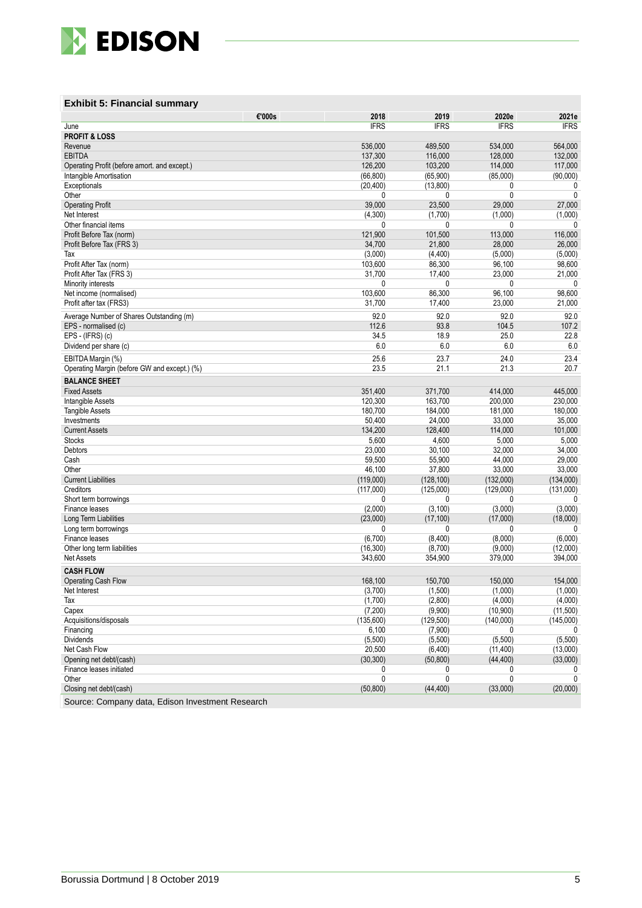

#### **Exhibit 5: Financial summary**

| <b>IFRS</b><br><b>IFRS</b><br><b>IFRS</b><br><b>IFRS</b><br>June<br><b>PROFIT &amp; LOSS</b><br>Revenue<br>536.000<br>489,500<br>534.000<br>564,000<br><b>EBITDA</b><br>116,000<br>128,000<br>132,000<br>137,300<br>126,200<br>103,200<br>114,000<br>117,000<br>Operating Profit (before amort, and except.)<br>Intangible Amortisation<br>(66, 800)<br>(65,900)<br>(85,000)<br>(90,000)<br>(20, 400)<br>(13, 800)<br>Exceptionals<br>0<br>0<br>Other<br>0<br>0<br>0<br>0<br>39,000<br>23,500<br>29,000<br>27,000<br><b>Operating Profit</b><br>(1,700)<br>Net Interest<br>(4,300)<br>(1,000)<br>(1,000)<br>Other financial items<br>0<br>0<br>0<br>0<br>121,900<br>101,500<br>113,000<br>116,000<br>Profit Before Tax (norm)<br>34,700<br>28,000<br>26,000<br>Profit Before Tax (FRS 3)<br>21,800<br>(3,000)<br>(4, 400)<br>(5,000)<br>(5,000)<br>Тах<br>103,600<br>Profit After Tax (norm)<br>86,300<br>96,100<br>98,600<br>17,400<br>23,000<br>Profit After Tax (FRS 3)<br>31,700<br>21,000<br>Minority interests<br>0<br>0<br>0<br>$\mathbf{0}$<br>103,600<br>86,300<br>96,100<br>98,600<br>Net income (normalised)<br>Profit after tax (FRS3)<br>31,700<br>23,000<br>21,000<br>17,400<br>Average Number of Shares Outstanding (m)<br>92.0<br>92.0<br>92.0<br>92.0<br>EPS - normalised (c)<br>112.6<br>93.8<br>104.5<br>107.2<br>EPS - (IFRS) (c)<br>34.5<br>18.9<br>25.0<br>22.8<br>6.0<br>6.0<br>6.0<br>6.0<br>Dividend per share (c)<br>25.6<br>23.4<br>23.7<br>24.0<br>EBITDA Margin (%)<br>23.5<br>21.1<br>21.3<br>20.7<br>Operating Margin (before GW and except.) (%)<br><b>BALANCE SHEET</b><br>445,000<br><b>Fixed Assets</b><br>351,400<br>371,700<br>414,000<br>120,300<br>163,700<br><b>Intangible Assets</b><br>200.000<br>230,000<br>180,700<br>184,000<br>181,000<br>180,000<br><b>Tangible Assets</b><br>Investments<br>50,400<br>24,000<br>33,000<br>35,000<br>134,200<br>128,400<br>114,000<br>101,000<br><b>Current Assets</b><br><b>Stocks</b><br>5,600<br>4,600<br>5,000<br>5,000<br>Debtors<br>23,000<br>30,100<br>32,000<br>34,000<br>59,500<br>55,900<br>29,000<br>Cash<br>44,000<br>46,100<br>37,800<br>33,000<br>33,000<br>Other<br><b>Current Liabilities</b><br>(119,000)<br>(128, 100)<br>(132,000)<br>(134,000)<br>(117,000)<br>(125,000)<br>(129,000)<br>(131,000)<br>Creditors<br>Short term borrowings<br>0<br>0<br>0<br>0<br>(3,000)<br>(3,000)<br>Finance leases<br>(2,000)<br>(3, 100)<br>(23,000)<br>(17, 100)<br>(17,000)<br>(18,000)<br>Long Term Liabilities<br>Long term borrowings<br>$\mathbf{0}$<br>0<br>0<br>0<br>(6,700)<br>(8,400)<br>(8,000)<br>(6,000)<br>Finance leases<br>(9,000)<br>(12,000)<br>Other long term liabilities<br>(16, 300)<br>(8,700)<br>379,000<br>394,000<br><b>Net Assets</b><br>343.600<br>354,900<br><b>CASH FLOW</b><br><b>Operating Cash Flow</b><br>168,100<br>150,700<br>150,000<br>154,000<br>(3,700)<br>(1,500)<br>(1,000)<br>(1,000)<br>Net Interest<br>Tax<br>(1,700)<br>(2,800)<br>(4,000)<br>(4,000)<br>(7,200)<br>(9,900)<br>(10,900)<br>(11,500)<br>Capex<br>Acquisitions/disposals<br>(135,600)<br>(129, 500)<br>(140,000)<br>(145,000)<br>Financing<br>6,100<br>(7,900)<br>0<br>$\mathbf{0}$<br><b>Dividends</b><br>(5,500)<br>(5,500)<br>(5,500)<br>(5,500)<br>20,500<br>Net Cash Flow<br>(6,400)<br>(11, 400)<br>(13,000)<br>Opening net debt/(cash)<br>(30, 300)<br>(50, 800)<br>(44, 400)<br>(33,000)<br>Finance leases initiated<br>0<br>0<br>0<br>0<br>0<br>$\mathbf{0}$<br>0<br>Other<br>$\mathbf{0}$<br>Closing net debt/(cash)<br>(50, 800)<br>(44, 400)<br>(33,000)<br>(20,000)<br>Course: Company data Edison Investment Desearch | €'000s<br>2018 | 2019 | 2020e | 2021e |
|---------------------------------------------------------------------------------------------------------------------------------------------------------------------------------------------------------------------------------------------------------------------------------------------------------------------------------------------------------------------------------------------------------------------------------------------------------------------------------------------------------------------------------------------------------------------------------------------------------------------------------------------------------------------------------------------------------------------------------------------------------------------------------------------------------------------------------------------------------------------------------------------------------------------------------------------------------------------------------------------------------------------------------------------------------------------------------------------------------------------------------------------------------------------------------------------------------------------------------------------------------------------------------------------------------------------------------------------------------------------------------------------------------------------------------------------------------------------------------------------------------------------------------------------------------------------------------------------------------------------------------------------------------------------------------------------------------------------------------------------------------------------------------------------------------------------------------------------------------------------------------------------------------------------------------------------------------------------------------------------------------------------------------------------------------------------------------------------------------------------------------------------------------------------------------------------------------------------------------------------------------------------------------------------------------------------------------------------------------------------------------------------------------------------------------------------------------------------------------------------------------------------------------------------------------------------------------------------------------------------------------------------------------------------------------------------------------------------------------------------------------------------------------------------------------------------------------------------------------------------------------------------------------------------------------------------------------------------------------------------------------------------------------------------------------------------------------------------------------------------------------------------------------------------------------------------------------------------------------------------------------------------------------------------------------------------------------------------------------------------------------------------------------------------------------------------------------------------------------------------------------------------------------------------------------------------------------------------------------------------------------------|----------------|------|-------|-------|
|                                                                                                                                                                                                                                                                                                                                                                                                                                                                                                                                                                                                                                                                                                                                                                                                                                                                                                                                                                                                                                                                                                                                                                                                                                                                                                                                                                                                                                                                                                                                                                                                                                                                                                                                                                                                                                                                                                                                                                                                                                                                                                                                                                                                                                                                                                                                                                                                                                                                                                                                                                                                                                                                                                                                                                                                                                                                                                                                                                                                                                                                                                                                                                                                                                                                                                                                                                                                                                                                                                                                                                                                                                       |                |      |       |       |
|                                                                                                                                                                                                                                                                                                                                                                                                                                                                                                                                                                                                                                                                                                                                                                                                                                                                                                                                                                                                                                                                                                                                                                                                                                                                                                                                                                                                                                                                                                                                                                                                                                                                                                                                                                                                                                                                                                                                                                                                                                                                                                                                                                                                                                                                                                                                                                                                                                                                                                                                                                                                                                                                                                                                                                                                                                                                                                                                                                                                                                                                                                                                                                                                                                                                                                                                                                                                                                                                                                                                                                                                                                       |                |      |       |       |
|                                                                                                                                                                                                                                                                                                                                                                                                                                                                                                                                                                                                                                                                                                                                                                                                                                                                                                                                                                                                                                                                                                                                                                                                                                                                                                                                                                                                                                                                                                                                                                                                                                                                                                                                                                                                                                                                                                                                                                                                                                                                                                                                                                                                                                                                                                                                                                                                                                                                                                                                                                                                                                                                                                                                                                                                                                                                                                                                                                                                                                                                                                                                                                                                                                                                                                                                                                                                                                                                                                                                                                                                                                       |                |      |       |       |
|                                                                                                                                                                                                                                                                                                                                                                                                                                                                                                                                                                                                                                                                                                                                                                                                                                                                                                                                                                                                                                                                                                                                                                                                                                                                                                                                                                                                                                                                                                                                                                                                                                                                                                                                                                                                                                                                                                                                                                                                                                                                                                                                                                                                                                                                                                                                                                                                                                                                                                                                                                                                                                                                                                                                                                                                                                                                                                                                                                                                                                                                                                                                                                                                                                                                                                                                                                                                                                                                                                                                                                                                                                       |                |      |       |       |
|                                                                                                                                                                                                                                                                                                                                                                                                                                                                                                                                                                                                                                                                                                                                                                                                                                                                                                                                                                                                                                                                                                                                                                                                                                                                                                                                                                                                                                                                                                                                                                                                                                                                                                                                                                                                                                                                                                                                                                                                                                                                                                                                                                                                                                                                                                                                                                                                                                                                                                                                                                                                                                                                                                                                                                                                                                                                                                                                                                                                                                                                                                                                                                                                                                                                                                                                                                                                                                                                                                                                                                                                                                       |                |      |       |       |
|                                                                                                                                                                                                                                                                                                                                                                                                                                                                                                                                                                                                                                                                                                                                                                                                                                                                                                                                                                                                                                                                                                                                                                                                                                                                                                                                                                                                                                                                                                                                                                                                                                                                                                                                                                                                                                                                                                                                                                                                                                                                                                                                                                                                                                                                                                                                                                                                                                                                                                                                                                                                                                                                                                                                                                                                                                                                                                                                                                                                                                                                                                                                                                                                                                                                                                                                                                                                                                                                                                                                                                                                                                       |                |      |       |       |
|                                                                                                                                                                                                                                                                                                                                                                                                                                                                                                                                                                                                                                                                                                                                                                                                                                                                                                                                                                                                                                                                                                                                                                                                                                                                                                                                                                                                                                                                                                                                                                                                                                                                                                                                                                                                                                                                                                                                                                                                                                                                                                                                                                                                                                                                                                                                                                                                                                                                                                                                                                                                                                                                                                                                                                                                                                                                                                                                                                                                                                                                                                                                                                                                                                                                                                                                                                                                                                                                                                                                                                                                                                       |                |      |       |       |
|                                                                                                                                                                                                                                                                                                                                                                                                                                                                                                                                                                                                                                                                                                                                                                                                                                                                                                                                                                                                                                                                                                                                                                                                                                                                                                                                                                                                                                                                                                                                                                                                                                                                                                                                                                                                                                                                                                                                                                                                                                                                                                                                                                                                                                                                                                                                                                                                                                                                                                                                                                                                                                                                                                                                                                                                                                                                                                                                                                                                                                                                                                                                                                                                                                                                                                                                                                                                                                                                                                                                                                                                                                       |                |      |       |       |
|                                                                                                                                                                                                                                                                                                                                                                                                                                                                                                                                                                                                                                                                                                                                                                                                                                                                                                                                                                                                                                                                                                                                                                                                                                                                                                                                                                                                                                                                                                                                                                                                                                                                                                                                                                                                                                                                                                                                                                                                                                                                                                                                                                                                                                                                                                                                                                                                                                                                                                                                                                                                                                                                                                                                                                                                                                                                                                                                                                                                                                                                                                                                                                                                                                                                                                                                                                                                                                                                                                                                                                                                                                       |                |      |       |       |
|                                                                                                                                                                                                                                                                                                                                                                                                                                                                                                                                                                                                                                                                                                                                                                                                                                                                                                                                                                                                                                                                                                                                                                                                                                                                                                                                                                                                                                                                                                                                                                                                                                                                                                                                                                                                                                                                                                                                                                                                                                                                                                                                                                                                                                                                                                                                                                                                                                                                                                                                                                                                                                                                                                                                                                                                                                                                                                                                                                                                                                                                                                                                                                                                                                                                                                                                                                                                                                                                                                                                                                                                                                       |                |      |       |       |
|                                                                                                                                                                                                                                                                                                                                                                                                                                                                                                                                                                                                                                                                                                                                                                                                                                                                                                                                                                                                                                                                                                                                                                                                                                                                                                                                                                                                                                                                                                                                                                                                                                                                                                                                                                                                                                                                                                                                                                                                                                                                                                                                                                                                                                                                                                                                                                                                                                                                                                                                                                                                                                                                                                                                                                                                                                                                                                                                                                                                                                                                                                                                                                                                                                                                                                                                                                                                                                                                                                                                                                                                                                       |                |      |       |       |
|                                                                                                                                                                                                                                                                                                                                                                                                                                                                                                                                                                                                                                                                                                                                                                                                                                                                                                                                                                                                                                                                                                                                                                                                                                                                                                                                                                                                                                                                                                                                                                                                                                                                                                                                                                                                                                                                                                                                                                                                                                                                                                                                                                                                                                                                                                                                                                                                                                                                                                                                                                                                                                                                                                                                                                                                                                                                                                                                                                                                                                                                                                                                                                                                                                                                                                                                                                                                                                                                                                                                                                                                                                       |                |      |       |       |
|                                                                                                                                                                                                                                                                                                                                                                                                                                                                                                                                                                                                                                                                                                                                                                                                                                                                                                                                                                                                                                                                                                                                                                                                                                                                                                                                                                                                                                                                                                                                                                                                                                                                                                                                                                                                                                                                                                                                                                                                                                                                                                                                                                                                                                                                                                                                                                                                                                                                                                                                                                                                                                                                                                                                                                                                                                                                                                                                                                                                                                                                                                                                                                                                                                                                                                                                                                                                                                                                                                                                                                                                                                       |                |      |       |       |
|                                                                                                                                                                                                                                                                                                                                                                                                                                                                                                                                                                                                                                                                                                                                                                                                                                                                                                                                                                                                                                                                                                                                                                                                                                                                                                                                                                                                                                                                                                                                                                                                                                                                                                                                                                                                                                                                                                                                                                                                                                                                                                                                                                                                                                                                                                                                                                                                                                                                                                                                                                                                                                                                                                                                                                                                                                                                                                                                                                                                                                                                                                                                                                                                                                                                                                                                                                                                                                                                                                                                                                                                                                       |                |      |       |       |
|                                                                                                                                                                                                                                                                                                                                                                                                                                                                                                                                                                                                                                                                                                                                                                                                                                                                                                                                                                                                                                                                                                                                                                                                                                                                                                                                                                                                                                                                                                                                                                                                                                                                                                                                                                                                                                                                                                                                                                                                                                                                                                                                                                                                                                                                                                                                                                                                                                                                                                                                                                                                                                                                                                                                                                                                                                                                                                                                                                                                                                                                                                                                                                                                                                                                                                                                                                                                                                                                                                                                                                                                                                       |                |      |       |       |
|                                                                                                                                                                                                                                                                                                                                                                                                                                                                                                                                                                                                                                                                                                                                                                                                                                                                                                                                                                                                                                                                                                                                                                                                                                                                                                                                                                                                                                                                                                                                                                                                                                                                                                                                                                                                                                                                                                                                                                                                                                                                                                                                                                                                                                                                                                                                                                                                                                                                                                                                                                                                                                                                                                                                                                                                                                                                                                                                                                                                                                                                                                                                                                                                                                                                                                                                                                                                                                                                                                                                                                                                                                       |                |      |       |       |
|                                                                                                                                                                                                                                                                                                                                                                                                                                                                                                                                                                                                                                                                                                                                                                                                                                                                                                                                                                                                                                                                                                                                                                                                                                                                                                                                                                                                                                                                                                                                                                                                                                                                                                                                                                                                                                                                                                                                                                                                                                                                                                                                                                                                                                                                                                                                                                                                                                                                                                                                                                                                                                                                                                                                                                                                                                                                                                                                                                                                                                                                                                                                                                                                                                                                                                                                                                                                                                                                                                                                                                                                                                       |                |      |       |       |
|                                                                                                                                                                                                                                                                                                                                                                                                                                                                                                                                                                                                                                                                                                                                                                                                                                                                                                                                                                                                                                                                                                                                                                                                                                                                                                                                                                                                                                                                                                                                                                                                                                                                                                                                                                                                                                                                                                                                                                                                                                                                                                                                                                                                                                                                                                                                                                                                                                                                                                                                                                                                                                                                                                                                                                                                                                                                                                                                                                                                                                                                                                                                                                                                                                                                                                                                                                                                                                                                                                                                                                                                                                       |                |      |       |       |
|                                                                                                                                                                                                                                                                                                                                                                                                                                                                                                                                                                                                                                                                                                                                                                                                                                                                                                                                                                                                                                                                                                                                                                                                                                                                                                                                                                                                                                                                                                                                                                                                                                                                                                                                                                                                                                                                                                                                                                                                                                                                                                                                                                                                                                                                                                                                                                                                                                                                                                                                                                                                                                                                                                                                                                                                                                                                                                                                                                                                                                                                                                                                                                                                                                                                                                                                                                                                                                                                                                                                                                                                                                       |                |      |       |       |
|                                                                                                                                                                                                                                                                                                                                                                                                                                                                                                                                                                                                                                                                                                                                                                                                                                                                                                                                                                                                                                                                                                                                                                                                                                                                                                                                                                                                                                                                                                                                                                                                                                                                                                                                                                                                                                                                                                                                                                                                                                                                                                                                                                                                                                                                                                                                                                                                                                                                                                                                                                                                                                                                                                                                                                                                                                                                                                                                                                                                                                                                                                                                                                                                                                                                                                                                                                                                                                                                                                                                                                                                                                       |                |      |       |       |
|                                                                                                                                                                                                                                                                                                                                                                                                                                                                                                                                                                                                                                                                                                                                                                                                                                                                                                                                                                                                                                                                                                                                                                                                                                                                                                                                                                                                                                                                                                                                                                                                                                                                                                                                                                                                                                                                                                                                                                                                                                                                                                                                                                                                                                                                                                                                                                                                                                                                                                                                                                                                                                                                                                                                                                                                                                                                                                                                                                                                                                                                                                                                                                                                                                                                                                                                                                                                                                                                                                                                                                                                                                       |                |      |       |       |
|                                                                                                                                                                                                                                                                                                                                                                                                                                                                                                                                                                                                                                                                                                                                                                                                                                                                                                                                                                                                                                                                                                                                                                                                                                                                                                                                                                                                                                                                                                                                                                                                                                                                                                                                                                                                                                                                                                                                                                                                                                                                                                                                                                                                                                                                                                                                                                                                                                                                                                                                                                                                                                                                                                                                                                                                                                                                                                                                                                                                                                                                                                                                                                                                                                                                                                                                                                                                                                                                                                                                                                                                                                       |                |      |       |       |
|                                                                                                                                                                                                                                                                                                                                                                                                                                                                                                                                                                                                                                                                                                                                                                                                                                                                                                                                                                                                                                                                                                                                                                                                                                                                                                                                                                                                                                                                                                                                                                                                                                                                                                                                                                                                                                                                                                                                                                                                                                                                                                                                                                                                                                                                                                                                                                                                                                                                                                                                                                                                                                                                                                                                                                                                                                                                                                                                                                                                                                                                                                                                                                                                                                                                                                                                                                                                                                                                                                                                                                                                                                       |                |      |       |       |
|                                                                                                                                                                                                                                                                                                                                                                                                                                                                                                                                                                                                                                                                                                                                                                                                                                                                                                                                                                                                                                                                                                                                                                                                                                                                                                                                                                                                                                                                                                                                                                                                                                                                                                                                                                                                                                                                                                                                                                                                                                                                                                                                                                                                                                                                                                                                                                                                                                                                                                                                                                                                                                                                                                                                                                                                                                                                                                                                                                                                                                                                                                                                                                                                                                                                                                                                                                                                                                                                                                                                                                                                                                       |                |      |       |       |
|                                                                                                                                                                                                                                                                                                                                                                                                                                                                                                                                                                                                                                                                                                                                                                                                                                                                                                                                                                                                                                                                                                                                                                                                                                                                                                                                                                                                                                                                                                                                                                                                                                                                                                                                                                                                                                                                                                                                                                                                                                                                                                                                                                                                                                                                                                                                                                                                                                                                                                                                                                                                                                                                                                                                                                                                                                                                                                                                                                                                                                                                                                                                                                                                                                                                                                                                                                                                                                                                                                                                                                                                                                       |                |      |       |       |
|                                                                                                                                                                                                                                                                                                                                                                                                                                                                                                                                                                                                                                                                                                                                                                                                                                                                                                                                                                                                                                                                                                                                                                                                                                                                                                                                                                                                                                                                                                                                                                                                                                                                                                                                                                                                                                                                                                                                                                                                                                                                                                                                                                                                                                                                                                                                                                                                                                                                                                                                                                                                                                                                                                                                                                                                                                                                                                                                                                                                                                                                                                                                                                                                                                                                                                                                                                                                                                                                                                                                                                                                                                       |                |      |       |       |
|                                                                                                                                                                                                                                                                                                                                                                                                                                                                                                                                                                                                                                                                                                                                                                                                                                                                                                                                                                                                                                                                                                                                                                                                                                                                                                                                                                                                                                                                                                                                                                                                                                                                                                                                                                                                                                                                                                                                                                                                                                                                                                                                                                                                                                                                                                                                                                                                                                                                                                                                                                                                                                                                                                                                                                                                                                                                                                                                                                                                                                                                                                                                                                                                                                                                                                                                                                                                                                                                                                                                                                                                                                       |                |      |       |       |
|                                                                                                                                                                                                                                                                                                                                                                                                                                                                                                                                                                                                                                                                                                                                                                                                                                                                                                                                                                                                                                                                                                                                                                                                                                                                                                                                                                                                                                                                                                                                                                                                                                                                                                                                                                                                                                                                                                                                                                                                                                                                                                                                                                                                                                                                                                                                                                                                                                                                                                                                                                                                                                                                                                                                                                                                                                                                                                                                                                                                                                                                                                                                                                                                                                                                                                                                                                                                                                                                                                                                                                                                                                       |                |      |       |       |
|                                                                                                                                                                                                                                                                                                                                                                                                                                                                                                                                                                                                                                                                                                                                                                                                                                                                                                                                                                                                                                                                                                                                                                                                                                                                                                                                                                                                                                                                                                                                                                                                                                                                                                                                                                                                                                                                                                                                                                                                                                                                                                                                                                                                                                                                                                                                                                                                                                                                                                                                                                                                                                                                                                                                                                                                                                                                                                                                                                                                                                                                                                                                                                                                                                                                                                                                                                                                                                                                                                                                                                                                                                       |                |      |       |       |
|                                                                                                                                                                                                                                                                                                                                                                                                                                                                                                                                                                                                                                                                                                                                                                                                                                                                                                                                                                                                                                                                                                                                                                                                                                                                                                                                                                                                                                                                                                                                                                                                                                                                                                                                                                                                                                                                                                                                                                                                                                                                                                                                                                                                                                                                                                                                                                                                                                                                                                                                                                                                                                                                                                                                                                                                                                                                                                                                                                                                                                                                                                                                                                                                                                                                                                                                                                                                                                                                                                                                                                                                                                       |                |      |       |       |
|                                                                                                                                                                                                                                                                                                                                                                                                                                                                                                                                                                                                                                                                                                                                                                                                                                                                                                                                                                                                                                                                                                                                                                                                                                                                                                                                                                                                                                                                                                                                                                                                                                                                                                                                                                                                                                                                                                                                                                                                                                                                                                                                                                                                                                                                                                                                                                                                                                                                                                                                                                                                                                                                                                                                                                                                                                                                                                                                                                                                                                                                                                                                                                                                                                                                                                                                                                                                                                                                                                                                                                                                                                       |                |      |       |       |
|                                                                                                                                                                                                                                                                                                                                                                                                                                                                                                                                                                                                                                                                                                                                                                                                                                                                                                                                                                                                                                                                                                                                                                                                                                                                                                                                                                                                                                                                                                                                                                                                                                                                                                                                                                                                                                                                                                                                                                                                                                                                                                                                                                                                                                                                                                                                                                                                                                                                                                                                                                                                                                                                                                                                                                                                                                                                                                                                                                                                                                                                                                                                                                                                                                                                                                                                                                                                                                                                                                                                                                                                                                       |                |      |       |       |
|                                                                                                                                                                                                                                                                                                                                                                                                                                                                                                                                                                                                                                                                                                                                                                                                                                                                                                                                                                                                                                                                                                                                                                                                                                                                                                                                                                                                                                                                                                                                                                                                                                                                                                                                                                                                                                                                                                                                                                                                                                                                                                                                                                                                                                                                                                                                                                                                                                                                                                                                                                                                                                                                                                                                                                                                                                                                                                                                                                                                                                                                                                                                                                                                                                                                                                                                                                                                                                                                                                                                                                                                                                       |                |      |       |       |
|                                                                                                                                                                                                                                                                                                                                                                                                                                                                                                                                                                                                                                                                                                                                                                                                                                                                                                                                                                                                                                                                                                                                                                                                                                                                                                                                                                                                                                                                                                                                                                                                                                                                                                                                                                                                                                                                                                                                                                                                                                                                                                                                                                                                                                                                                                                                                                                                                                                                                                                                                                                                                                                                                                                                                                                                                                                                                                                                                                                                                                                                                                                                                                                                                                                                                                                                                                                                                                                                                                                                                                                                                                       |                |      |       |       |
|                                                                                                                                                                                                                                                                                                                                                                                                                                                                                                                                                                                                                                                                                                                                                                                                                                                                                                                                                                                                                                                                                                                                                                                                                                                                                                                                                                                                                                                                                                                                                                                                                                                                                                                                                                                                                                                                                                                                                                                                                                                                                                                                                                                                                                                                                                                                                                                                                                                                                                                                                                                                                                                                                                                                                                                                                                                                                                                                                                                                                                                                                                                                                                                                                                                                                                                                                                                                                                                                                                                                                                                                                                       |                |      |       |       |
|                                                                                                                                                                                                                                                                                                                                                                                                                                                                                                                                                                                                                                                                                                                                                                                                                                                                                                                                                                                                                                                                                                                                                                                                                                                                                                                                                                                                                                                                                                                                                                                                                                                                                                                                                                                                                                                                                                                                                                                                                                                                                                                                                                                                                                                                                                                                                                                                                                                                                                                                                                                                                                                                                                                                                                                                                                                                                                                                                                                                                                                                                                                                                                                                                                                                                                                                                                                                                                                                                                                                                                                                                                       |                |      |       |       |
|                                                                                                                                                                                                                                                                                                                                                                                                                                                                                                                                                                                                                                                                                                                                                                                                                                                                                                                                                                                                                                                                                                                                                                                                                                                                                                                                                                                                                                                                                                                                                                                                                                                                                                                                                                                                                                                                                                                                                                                                                                                                                                                                                                                                                                                                                                                                                                                                                                                                                                                                                                                                                                                                                                                                                                                                                                                                                                                                                                                                                                                                                                                                                                                                                                                                                                                                                                                                                                                                                                                                                                                                                                       |                |      |       |       |
|                                                                                                                                                                                                                                                                                                                                                                                                                                                                                                                                                                                                                                                                                                                                                                                                                                                                                                                                                                                                                                                                                                                                                                                                                                                                                                                                                                                                                                                                                                                                                                                                                                                                                                                                                                                                                                                                                                                                                                                                                                                                                                                                                                                                                                                                                                                                                                                                                                                                                                                                                                                                                                                                                                                                                                                                                                                                                                                                                                                                                                                                                                                                                                                                                                                                                                                                                                                                                                                                                                                                                                                                                                       |                |      |       |       |
|                                                                                                                                                                                                                                                                                                                                                                                                                                                                                                                                                                                                                                                                                                                                                                                                                                                                                                                                                                                                                                                                                                                                                                                                                                                                                                                                                                                                                                                                                                                                                                                                                                                                                                                                                                                                                                                                                                                                                                                                                                                                                                                                                                                                                                                                                                                                                                                                                                                                                                                                                                                                                                                                                                                                                                                                                                                                                                                                                                                                                                                                                                                                                                                                                                                                                                                                                                                                                                                                                                                                                                                                                                       |                |      |       |       |
|                                                                                                                                                                                                                                                                                                                                                                                                                                                                                                                                                                                                                                                                                                                                                                                                                                                                                                                                                                                                                                                                                                                                                                                                                                                                                                                                                                                                                                                                                                                                                                                                                                                                                                                                                                                                                                                                                                                                                                                                                                                                                                                                                                                                                                                                                                                                                                                                                                                                                                                                                                                                                                                                                                                                                                                                                                                                                                                                                                                                                                                                                                                                                                                                                                                                                                                                                                                                                                                                                                                                                                                                                                       |                |      |       |       |
|                                                                                                                                                                                                                                                                                                                                                                                                                                                                                                                                                                                                                                                                                                                                                                                                                                                                                                                                                                                                                                                                                                                                                                                                                                                                                                                                                                                                                                                                                                                                                                                                                                                                                                                                                                                                                                                                                                                                                                                                                                                                                                                                                                                                                                                                                                                                                                                                                                                                                                                                                                                                                                                                                                                                                                                                                                                                                                                                                                                                                                                                                                                                                                                                                                                                                                                                                                                                                                                                                                                                                                                                                                       |                |      |       |       |
|                                                                                                                                                                                                                                                                                                                                                                                                                                                                                                                                                                                                                                                                                                                                                                                                                                                                                                                                                                                                                                                                                                                                                                                                                                                                                                                                                                                                                                                                                                                                                                                                                                                                                                                                                                                                                                                                                                                                                                                                                                                                                                                                                                                                                                                                                                                                                                                                                                                                                                                                                                                                                                                                                                                                                                                                                                                                                                                                                                                                                                                                                                                                                                                                                                                                                                                                                                                                                                                                                                                                                                                                                                       |                |      |       |       |
|                                                                                                                                                                                                                                                                                                                                                                                                                                                                                                                                                                                                                                                                                                                                                                                                                                                                                                                                                                                                                                                                                                                                                                                                                                                                                                                                                                                                                                                                                                                                                                                                                                                                                                                                                                                                                                                                                                                                                                                                                                                                                                                                                                                                                                                                                                                                                                                                                                                                                                                                                                                                                                                                                                                                                                                                                                                                                                                                                                                                                                                                                                                                                                                                                                                                                                                                                                                                                                                                                                                                                                                                                                       |                |      |       |       |
|                                                                                                                                                                                                                                                                                                                                                                                                                                                                                                                                                                                                                                                                                                                                                                                                                                                                                                                                                                                                                                                                                                                                                                                                                                                                                                                                                                                                                                                                                                                                                                                                                                                                                                                                                                                                                                                                                                                                                                                                                                                                                                                                                                                                                                                                                                                                                                                                                                                                                                                                                                                                                                                                                                                                                                                                                                                                                                                                                                                                                                                                                                                                                                                                                                                                                                                                                                                                                                                                                                                                                                                                                                       |                |      |       |       |
|                                                                                                                                                                                                                                                                                                                                                                                                                                                                                                                                                                                                                                                                                                                                                                                                                                                                                                                                                                                                                                                                                                                                                                                                                                                                                                                                                                                                                                                                                                                                                                                                                                                                                                                                                                                                                                                                                                                                                                                                                                                                                                                                                                                                                                                                                                                                                                                                                                                                                                                                                                                                                                                                                                                                                                                                                                                                                                                                                                                                                                                                                                                                                                                                                                                                                                                                                                                                                                                                                                                                                                                                                                       |                |      |       |       |
|                                                                                                                                                                                                                                                                                                                                                                                                                                                                                                                                                                                                                                                                                                                                                                                                                                                                                                                                                                                                                                                                                                                                                                                                                                                                                                                                                                                                                                                                                                                                                                                                                                                                                                                                                                                                                                                                                                                                                                                                                                                                                                                                                                                                                                                                                                                                                                                                                                                                                                                                                                                                                                                                                                                                                                                                                                                                                                                                                                                                                                                                                                                                                                                                                                                                                                                                                                                                                                                                                                                                                                                                                                       |                |      |       |       |
|                                                                                                                                                                                                                                                                                                                                                                                                                                                                                                                                                                                                                                                                                                                                                                                                                                                                                                                                                                                                                                                                                                                                                                                                                                                                                                                                                                                                                                                                                                                                                                                                                                                                                                                                                                                                                                                                                                                                                                                                                                                                                                                                                                                                                                                                                                                                                                                                                                                                                                                                                                                                                                                                                                                                                                                                                                                                                                                                                                                                                                                                                                                                                                                                                                                                                                                                                                                                                                                                                                                                                                                                                                       |                |      |       |       |
|                                                                                                                                                                                                                                                                                                                                                                                                                                                                                                                                                                                                                                                                                                                                                                                                                                                                                                                                                                                                                                                                                                                                                                                                                                                                                                                                                                                                                                                                                                                                                                                                                                                                                                                                                                                                                                                                                                                                                                                                                                                                                                                                                                                                                                                                                                                                                                                                                                                                                                                                                                                                                                                                                                                                                                                                                                                                                                                                                                                                                                                                                                                                                                                                                                                                                                                                                                                                                                                                                                                                                                                                                                       |                |      |       |       |
|                                                                                                                                                                                                                                                                                                                                                                                                                                                                                                                                                                                                                                                                                                                                                                                                                                                                                                                                                                                                                                                                                                                                                                                                                                                                                                                                                                                                                                                                                                                                                                                                                                                                                                                                                                                                                                                                                                                                                                                                                                                                                                                                                                                                                                                                                                                                                                                                                                                                                                                                                                                                                                                                                                                                                                                                                                                                                                                                                                                                                                                                                                                                                                                                                                                                                                                                                                                                                                                                                                                                                                                                                                       |                |      |       |       |
|                                                                                                                                                                                                                                                                                                                                                                                                                                                                                                                                                                                                                                                                                                                                                                                                                                                                                                                                                                                                                                                                                                                                                                                                                                                                                                                                                                                                                                                                                                                                                                                                                                                                                                                                                                                                                                                                                                                                                                                                                                                                                                                                                                                                                                                                                                                                                                                                                                                                                                                                                                                                                                                                                                                                                                                                                                                                                                                                                                                                                                                                                                                                                                                                                                                                                                                                                                                                                                                                                                                                                                                                                                       |                |      |       |       |
|                                                                                                                                                                                                                                                                                                                                                                                                                                                                                                                                                                                                                                                                                                                                                                                                                                                                                                                                                                                                                                                                                                                                                                                                                                                                                                                                                                                                                                                                                                                                                                                                                                                                                                                                                                                                                                                                                                                                                                                                                                                                                                                                                                                                                                                                                                                                                                                                                                                                                                                                                                                                                                                                                                                                                                                                                                                                                                                                                                                                                                                                                                                                                                                                                                                                                                                                                                                                                                                                                                                                                                                                                                       |                |      |       |       |
|                                                                                                                                                                                                                                                                                                                                                                                                                                                                                                                                                                                                                                                                                                                                                                                                                                                                                                                                                                                                                                                                                                                                                                                                                                                                                                                                                                                                                                                                                                                                                                                                                                                                                                                                                                                                                                                                                                                                                                                                                                                                                                                                                                                                                                                                                                                                                                                                                                                                                                                                                                                                                                                                                                                                                                                                                                                                                                                                                                                                                                                                                                                                                                                                                                                                                                                                                                                                                                                                                                                                                                                                                                       |                |      |       |       |
|                                                                                                                                                                                                                                                                                                                                                                                                                                                                                                                                                                                                                                                                                                                                                                                                                                                                                                                                                                                                                                                                                                                                                                                                                                                                                                                                                                                                                                                                                                                                                                                                                                                                                                                                                                                                                                                                                                                                                                                                                                                                                                                                                                                                                                                                                                                                                                                                                                                                                                                                                                                                                                                                                                                                                                                                                                                                                                                                                                                                                                                                                                                                                                                                                                                                                                                                                                                                                                                                                                                                                                                                                                       |                |      |       |       |
|                                                                                                                                                                                                                                                                                                                                                                                                                                                                                                                                                                                                                                                                                                                                                                                                                                                                                                                                                                                                                                                                                                                                                                                                                                                                                                                                                                                                                                                                                                                                                                                                                                                                                                                                                                                                                                                                                                                                                                                                                                                                                                                                                                                                                                                                                                                                                                                                                                                                                                                                                                                                                                                                                                                                                                                                                                                                                                                                                                                                                                                                                                                                                                                                                                                                                                                                                                                                                                                                                                                                                                                                                                       |                |      |       |       |
|                                                                                                                                                                                                                                                                                                                                                                                                                                                                                                                                                                                                                                                                                                                                                                                                                                                                                                                                                                                                                                                                                                                                                                                                                                                                                                                                                                                                                                                                                                                                                                                                                                                                                                                                                                                                                                                                                                                                                                                                                                                                                                                                                                                                                                                                                                                                                                                                                                                                                                                                                                                                                                                                                                                                                                                                                                                                                                                                                                                                                                                                                                                                                                                                                                                                                                                                                                                                                                                                                                                                                                                                                                       |                |      |       |       |
|                                                                                                                                                                                                                                                                                                                                                                                                                                                                                                                                                                                                                                                                                                                                                                                                                                                                                                                                                                                                                                                                                                                                                                                                                                                                                                                                                                                                                                                                                                                                                                                                                                                                                                                                                                                                                                                                                                                                                                                                                                                                                                                                                                                                                                                                                                                                                                                                                                                                                                                                                                                                                                                                                                                                                                                                                                                                                                                                                                                                                                                                                                                                                                                                                                                                                                                                                                                                                                                                                                                                                                                                                                       |                |      |       |       |
|                                                                                                                                                                                                                                                                                                                                                                                                                                                                                                                                                                                                                                                                                                                                                                                                                                                                                                                                                                                                                                                                                                                                                                                                                                                                                                                                                                                                                                                                                                                                                                                                                                                                                                                                                                                                                                                                                                                                                                                                                                                                                                                                                                                                                                                                                                                                                                                                                                                                                                                                                                                                                                                                                                                                                                                                                                                                                                                                                                                                                                                                                                                                                                                                                                                                                                                                                                                                                                                                                                                                                                                                                                       |                |      |       |       |
|                                                                                                                                                                                                                                                                                                                                                                                                                                                                                                                                                                                                                                                                                                                                                                                                                                                                                                                                                                                                                                                                                                                                                                                                                                                                                                                                                                                                                                                                                                                                                                                                                                                                                                                                                                                                                                                                                                                                                                                                                                                                                                                                                                                                                                                                                                                                                                                                                                                                                                                                                                                                                                                                                                                                                                                                                                                                                                                                                                                                                                                                                                                                                                                                                                                                                                                                                                                                                                                                                                                                                                                                                                       |                |      |       |       |

Source: Company data, Edison Investment Research